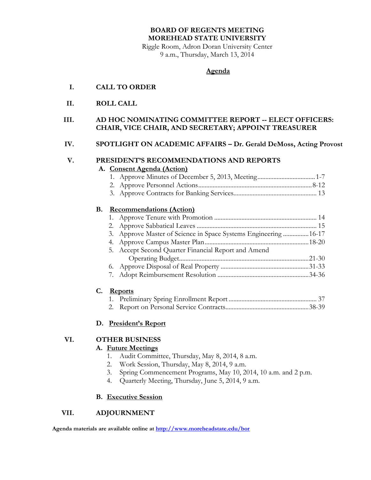# **BOARD OF REGENTS MEETING MOREHEAD STATE UNIVERSITY**

Riggle Room, Adron Doran University Center 9 a.m., Thursday, March 13, 2014

### **Agenda**

### **I. CALL TO ORDER**

**II. ROLL CALL**

### **III. AD HOC NOMINATING COMMITTEE REPORT -- ELECT OFFICERS: CHAIR, VICE CHAIR, AND SECRETARY; APPOINT TREASURER**

### **IV. SPOTLIGHT ON ACADEMIC AFFAIRS – Dr. Gerald DeMoss, Acting Provost**

# **V. PRESIDENT'S RECOMMENDATIONS AND REPORTS**

### **A. Consent Agenda (Action)**

3. Approve Contracts for Banking Services.................................................... 13

# **B. Recommendations (Action)**

| 3. Approve Master of Science in Space Systems Engineering 16-17 |  |
|-----------------------------------------------------------------|--|
|                                                                 |  |
| 5. Accept Second Quarter Financial Report and Amend             |  |
|                                                                 |  |
|                                                                 |  |
|                                                                 |  |

### **C. Reports**

# **D. President's Report**

# **VI. OTHER BUSINESS**

# **A. Future Meetings**

- 1. Audit Committee, Thursday, May 8, 2014, 8 a.m.
- 2. Work Session, Thursday, May 8, 2014, 9 a.m.
- 3. Spring Commencement Programs, May 10, 2014, 10 a.m. and 2 p.m.
- 4. Quarterly Meeting, Thursday, June 5, 2014, 9 a.m.

### **B. Executive Session**

# **VII. ADJOURNMENT**

**Agenda materials are available online at<http://www.moreheadstate.edu/bor>**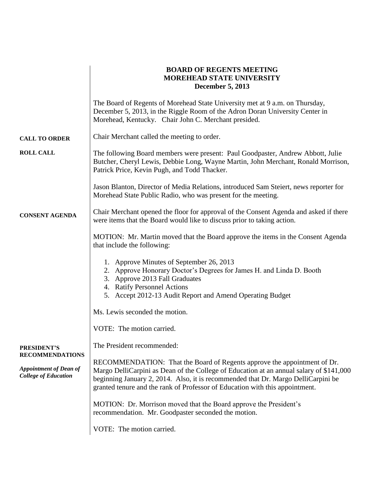|                                                                                        | <b>BOARD OF REGENTS MEETING</b><br><b>MOREHEAD STATE UNIVERSITY</b><br><b>December 5, 2013</b>                                                                                                                                                                                                                                           |  |  |  |  |
|----------------------------------------------------------------------------------------|------------------------------------------------------------------------------------------------------------------------------------------------------------------------------------------------------------------------------------------------------------------------------------------------------------------------------------------|--|--|--|--|
|                                                                                        | The Board of Regents of Morehead State University met at 9 a.m. on Thursday,<br>December 5, 2013, in the Riggle Room of the Adron Doran University Center in<br>Morehead, Kentucky. Chair John C. Merchant presided.                                                                                                                     |  |  |  |  |
| <b>CALL TO ORDER</b>                                                                   | Chair Merchant called the meeting to order.                                                                                                                                                                                                                                                                                              |  |  |  |  |
| <b>ROLL CALL</b>                                                                       | The following Board members were present: Paul Goodpaster, Andrew Abbott, Julie<br>Butcher, Cheryl Lewis, Debbie Long, Wayne Martin, John Merchant, Ronald Morrison,<br>Patrick Price, Kevin Pugh, and Todd Thacker.                                                                                                                     |  |  |  |  |
|                                                                                        | Jason Blanton, Director of Media Relations, introduced Sam Steiert, news reporter for<br>Morehead State Public Radio, who was present for the meeting.                                                                                                                                                                                   |  |  |  |  |
| <b>CONSENT AGENDA</b>                                                                  | Chair Merchant opened the floor for approval of the Consent Agenda and asked if there<br>were items that the Board would like to discuss prior to taking action.                                                                                                                                                                         |  |  |  |  |
|                                                                                        | MOTION: Mr. Martin moved that the Board approve the items in the Consent Agenda<br>that include the following:                                                                                                                                                                                                                           |  |  |  |  |
|                                                                                        | 1. Approve Minutes of September 26, 2013<br>2. Approve Honorary Doctor's Degrees for James H. and Linda D. Booth<br>3. Approve 2013 Fall Graduates<br>4. Ratify Personnel Actions<br>5. Accept 2012-13 Audit Report and Amend Operating Budget                                                                                           |  |  |  |  |
|                                                                                        | Ms. Lewis seconded the motion.                                                                                                                                                                                                                                                                                                           |  |  |  |  |
|                                                                                        | VOTE: The motion carried.                                                                                                                                                                                                                                                                                                                |  |  |  |  |
| <b>PRESIDENT'S</b>                                                                     | The President recommended:                                                                                                                                                                                                                                                                                                               |  |  |  |  |
| <b>RECOMMENDATIONS</b><br><b>Appointment of Dean of</b><br><b>College of Education</b> | RECOMMENDATION: That the Board of Regents approve the appointment of Dr.<br>Margo DelliCarpini as Dean of the College of Education at an annual salary of \$141,000<br>beginning January 2, 2014. Also, it is recommended that Dr. Margo DelliCarpini be<br>granted tenure and the rank of Professor of Education with this appointment. |  |  |  |  |
|                                                                                        | MOTION: Dr. Morrison moved that the Board approve the President's<br>recommendation. Mr. Goodpaster seconded the motion.                                                                                                                                                                                                                 |  |  |  |  |
|                                                                                        | VOTE: The motion carried.                                                                                                                                                                                                                                                                                                                |  |  |  |  |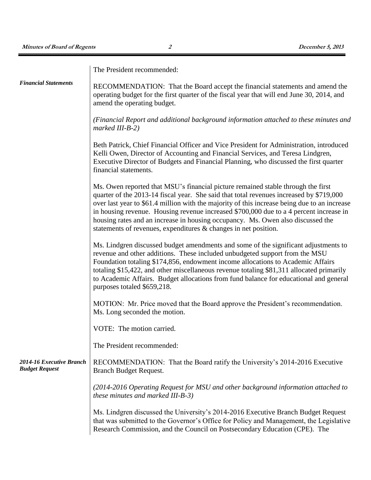|                                                   | The President recommended:                                                                                                                                                                                                                                                                                                                                                                                                                                                                                                  |
|---------------------------------------------------|-----------------------------------------------------------------------------------------------------------------------------------------------------------------------------------------------------------------------------------------------------------------------------------------------------------------------------------------------------------------------------------------------------------------------------------------------------------------------------------------------------------------------------|
| <b>Financial Statements</b>                       | RECOMMENDATION: That the Board accept the financial statements and amend the<br>operating budget for the first quarter of the fiscal year that will end June 30, 2014, and<br>amend the operating budget.                                                                                                                                                                                                                                                                                                                   |
|                                                   | (Financial Report and additional background information attached to these minutes and<br>$marked III-B-2)$                                                                                                                                                                                                                                                                                                                                                                                                                  |
|                                                   | Beth Patrick, Chief Financial Officer and Vice President for Administration, introduced<br>Kelli Owen, Director of Accounting and Financial Services, and Teresa Lindgren,<br>Executive Director of Budgets and Financial Planning, who discussed the first quarter<br>financial statements.                                                                                                                                                                                                                                |
|                                                   | Ms. Owen reported that MSU's financial picture remained stable through the first<br>quarter of the 2013-14 fiscal year. She said that total revenues increased by \$719,000<br>over last year to \$61.4 million with the majority of this increase being due to an increase<br>in housing revenue. Housing revenue increased \$700,000 due to a 4 percent increase in<br>housing rates and an increase in housing occupancy. Ms. Owen also discussed the<br>statements of revenues, expenditures & changes in net position. |
|                                                   | Ms. Lindgren discussed budget amendments and some of the significant adjustments to<br>revenue and other additions. These included unbudgeted support from the MSU<br>Foundation totaling \$174,856, endowment income allocations to Academic Affairs<br>totaling \$15,422, and other miscellaneous revenue totaling \$81,311 allocated primarily<br>to Academic Affairs. Budget allocations from fund balance for educational and general<br>purposes totaled \$659,218.                                                   |
|                                                   | MOTION: Mr. Price moved that the Board approve the President's recommendation.<br>Ms. Long seconded the motion.                                                                                                                                                                                                                                                                                                                                                                                                             |
|                                                   | VOTE: The motion carried.                                                                                                                                                                                                                                                                                                                                                                                                                                                                                                   |
|                                                   | The President recommended:                                                                                                                                                                                                                                                                                                                                                                                                                                                                                                  |
| 2014-16 Executive Branch<br><b>Budget Request</b> | RECOMMENDATION: That the Board ratify the University's 2014-2016 Executive<br>Branch Budget Request.                                                                                                                                                                                                                                                                                                                                                                                                                        |
|                                                   | (2014-2016 Operating Request for MSU and other background information attached to<br>these minutes and marked III-B-3)                                                                                                                                                                                                                                                                                                                                                                                                      |
|                                                   | Ms. Lindgren discussed the University's 2014-2016 Executive Branch Budget Request<br>that was submitted to the Governor's Office for Policy and Management, the Legislative<br>Research Commission, and the Council on Postsecondary Education (CPE). The                                                                                                                                                                                                                                                                   |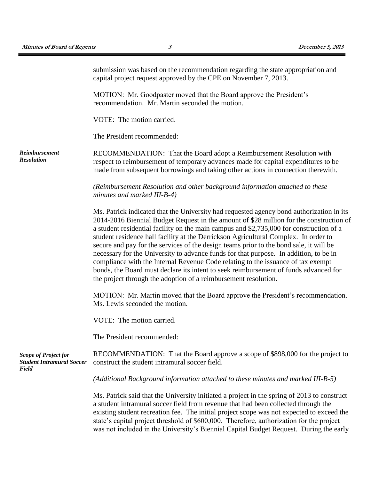|                                                                          | submission was based on the recommendation regarding the state appropriation and<br>capital project request approved by the CPE on November 7, 2013.                                                                                                                                                                                                                                                                                                                                                                                                                                                                                                                                                                                                                                                    |  |  |  |  |
|--------------------------------------------------------------------------|---------------------------------------------------------------------------------------------------------------------------------------------------------------------------------------------------------------------------------------------------------------------------------------------------------------------------------------------------------------------------------------------------------------------------------------------------------------------------------------------------------------------------------------------------------------------------------------------------------------------------------------------------------------------------------------------------------------------------------------------------------------------------------------------------------|--|--|--|--|
|                                                                          | MOTION: Mr. Goodpaster moved that the Board approve the President's<br>recommendation. Mr. Martin seconded the motion.                                                                                                                                                                                                                                                                                                                                                                                                                                                                                                                                                                                                                                                                                  |  |  |  |  |
|                                                                          | VOTE: The motion carried.                                                                                                                                                                                                                                                                                                                                                                                                                                                                                                                                                                                                                                                                                                                                                                               |  |  |  |  |
|                                                                          | The President recommended:                                                                                                                                                                                                                                                                                                                                                                                                                                                                                                                                                                                                                                                                                                                                                                              |  |  |  |  |
| <b>Reimbursement</b><br><b>Resolution</b>                                | RECOMMENDATION: That the Board adopt a Reimbursement Resolution with<br>respect to reimbursement of temporary advances made for capital expenditures to be<br>made from subsequent borrowings and taking other actions in connection therewith.                                                                                                                                                                                                                                                                                                                                                                                                                                                                                                                                                         |  |  |  |  |
|                                                                          | (Reimbursement Resolution and other background information attached to these<br>minutes and marked III-B-4)                                                                                                                                                                                                                                                                                                                                                                                                                                                                                                                                                                                                                                                                                             |  |  |  |  |
|                                                                          | Ms. Patrick indicated that the University had requested agency bond authorization in its<br>2014-2016 Biennial Budget Request in the amount of \$28 million for the construction of<br>a student residential facility on the main campus and \$2,735,000 for construction of a<br>student residence hall facility at the Derrickson Agricultural Complex. In order to<br>secure and pay for the services of the design teams prior to the bond sale, it will be<br>necessary for the University to advance funds for that purpose. In addition, to be in<br>compliance with the Internal Revenue Code relating to the issuance of tax exempt<br>bonds, the Board must declare its intent to seek reimbursement of funds advanced for<br>the project through the adoption of a reimbursement resolution. |  |  |  |  |
|                                                                          | MOTION: Mr. Martin moved that the Board approve the President's recommendation.<br>Ms. Lewis seconded the motion.                                                                                                                                                                                                                                                                                                                                                                                                                                                                                                                                                                                                                                                                                       |  |  |  |  |
|                                                                          | VOTE: The motion carried.                                                                                                                                                                                                                                                                                                                                                                                                                                                                                                                                                                                                                                                                                                                                                                               |  |  |  |  |
|                                                                          | The President recommended:                                                                                                                                                                                                                                                                                                                                                                                                                                                                                                                                                                                                                                                                                                                                                                              |  |  |  |  |
| <b>Scope of Project for</b><br><b>Student Intramural Soccer</b><br>Field | RECOMMENDATION: That the Board approve a scope of \$898,000 for the project to<br>construct the student intramural soccer field.                                                                                                                                                                                                                                                                                                                                                                                                                                                                                                                                                                                                                                                                        |  |  |  |  |
|                                                                          | (Additional Background information attached to these minutes and marked III-B-5)                                                                                                                                                                                                                                                                                                                                                                                                                                                                                                                                                                                                                                                                                                                        |  |  |  |  |
|                                                                          | Ms. Patrick said that the University initiated a project in the spring of 2013 to construct<br>a student intramural soccer field from revenue that had been collected through the<br>existing student recreation fee. The initial project scope was not expected to exceed the<br>state's capital project threshold of \$600,000. Therefore, authorization for the project<br>was not included in the University's Biennial Capital Budget Request. During the early                                                                                                                                                                                                                                                                                                                                    |  |  |  |  |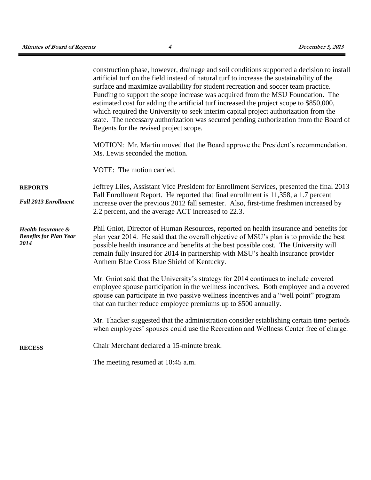|                                                                        | construction phase, however, drainage and soil conditions supported a decision to install<br>artificial turf on the field instead of natural turf to increase the sustainability of the<br>surface and maximize availability for student recreation and soccer team practice.<br>Funding to support the scope increase was acquired from the MSU Foundation. The<br>estimated cost for adding the artificial turf increased the project scope to \$850,000,<br>which required the University to seek interim capital project authorization from the<br>state. The necessary authorization was secured pending authorization from the Board of<br>Regents for the revised project scope.<br>MOTION: Mr. Martin moved that the Board approve the President's recommendation.<br>Ms. Lewis seconded the motion.<br>VOTE: The motion carried. |
|------------------------------------------------------------------------|-------------------------------------------------------------------------------------------------------------------------------------------------------------------------------------------------------------------------------------------------------------------------------------------------------------------------------------------------------------------------------------------------------------------------------------------------------------------------------------------------------------------------------------------------------------------------------------------------------------------------------------------------------------------------------------------------------------------------------------------------------------------------------------------------------------------------------------------|
| <b>REPORTS</b>                                                         | Jeffrey Liles, Assistant Vice President for Enrollment Services, presented the final 2013                                                                                                                                                                                                                                                                                                                                                                                                                                                                                                                                                                                                                                                                                                                                                 |
| <b>Fall 2013 Enrollment</b>                                            | Fall Enrollment Report. He reported that final enrollment is 11,358, a 1.7 percent<br>increase over the previous 2012 fall semester. Also, first-time freshmen increased by<br>2.2 percent, and the average ACT increased to 22.3.                                                                                                                                                                                                                                                                                                                                                                                                                                                                                                                                                                                                        |
| <b>Health Insurance &amp;</b><br><b>Benefits for Plan Year</b><br>2014 | Phil Gniot, Director of Human Resources, reported on health insurance and benefits for<br>plan year 2014. He said that the overall objective of MSU's plan is to provide the best<br>possible health insurance and benefits at the best possible cost. The University will<br>remain fully insured for 2014 in partnership with MSU's health insurance provider<br>Anthem Blue Cross Blue Shield of Kentucky.                                                                                                                                                                                                                                                                                                                                                                                                                             |
|                                                                        | Mr. Gniot said that the University's strategy for 2014 continues to include covered<br>employee spouse participation in the wellness incentives. Both employee and a covered<br>spouse can participate in two passive wellness incentives and a "well point" program<br>that can further reduce employee premiums up to \$500 annually.                                                                                                                                                                                                                                                                                                                                                                                                                                                                                                   |
|                                                                        | Mr. Thacker suggested that the administration consider establishing certain time periods<br>when employees' spouses could use the Recreation and Wellness Center free of charge.                                                                                                                                                                                                                                                                                                                                                                                                                                                                                                                                                                                                                                                          |
| <b>RECESS</b>                                                          | Chair Merchant declared a 15-minute break.                                                                                                                                                                                                                                                                                                                                                                                                                                                                                                                                                                                                                                                                                                                                                                                                |
|                                                                        | The meeting resumed at 10:45 a.m.                                                                                                                                                                                                                                                                                                                                                                                                                                                                                                                                                                                                                                                                                                                                                                                                         |
|                                                                        |                                                                                                                                                                                                                                                                                                                                                                                                                                                                                                                                                                                                                                                                                                                                                                                                                                           |
|                                                                        |                                                                                                                                                                                                                                                                                                                                                                                                                                                                                                                                                                                                                                                                                                                                                                                                                                           |
|                                                                        |                                                                                                                                                                                                                                                                                                                                                                                                                                                                                                                                                                                                                                                                                                                                                                                                                                           |
|                                                                        |                                                                                                                                                                                                                                                                                                                                                                                                                                                                                                                                                                                                                                                                                                                                                                                                                                           |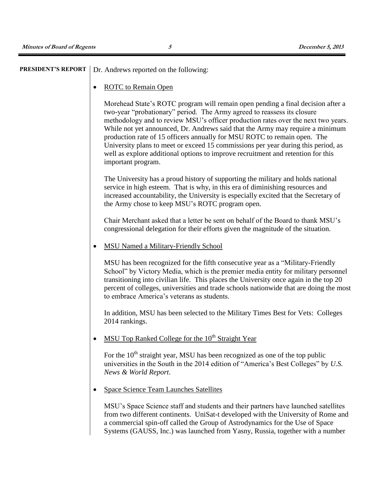### **PRESIDENT'S REPORT** Dr. Andrews reported on the following:

• ROTC to Remain Open

Morehead State's ROTC program will remain open pending a final decision after a two-year "probationary" period. The Army agreed to reassess its closure methodology and to review MSU's officer production rates over the next two years. While not yet announced, Dr. Andrews said that the Army may require a minimum production rate of 15 officers annually for MSU ROTC to remain open. The University plans to meet or exceed 15 commissions per year during this period, as well as explore additional options to improve recruitment and retention for this important program.

The University has a proud history of supporting the military and holds national service in high esteem. That is why, in this era of diminishing resources and increased accountability, the University is especially excited that the Secretary of the Army chose to keep MSU's ROTC program open.

Chair Merchant asked that a letter be sent on behalf of the Board to thank MSU's congressional delegation for their efforts given the magnitude of the situation.

MSU Named a Military-Friendly School

MSU has been recognized for the fifth consecutive year as a "Military-Friendly School" by Victory Media, which is the premier media entity for military personnel transitioning into civilian life. This places the University once again in the top 20 percent of colleges, universities and trade schools nationwide that are doing the most to embrace America's veterans as students.

In addition, MSU has been selected to the Military Times Best for Vets: Colleges 2014 rankings.

MSU Top Ranked College for the  $10<sup>th</sup>$  Straight Year

For the  $10<sup>th</sup>$  straight year, MSU has been recognized as one of the top public universities in the South in the 2014 edition of "America's Best Colleges" by *U.S. News & World Report*.

Space Science Team Launches Satellites

MSU's Space Science staff and students and their partners have launched satellites from two different continents. UniSat-t developed with the University of Rome and a commercial spin-off called the Group of Astrodynamics for the Use of Space Systems (GAUSS, Inc.) was launched from Yasny, Russia, together with a number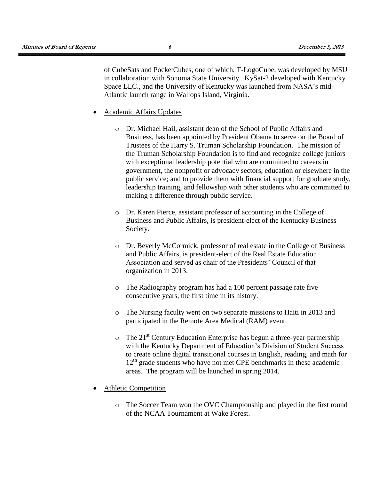of CubeSats and PocketCubes, one of which, T-LogoCube, was developed by MSU in collaboration with Sonoma State University. KySat-2 developed with Kentucky Space LLC., and the University of Kentucky was launched from NASA's mid-Atlantic launch range in Wallops Island, Virginia.

- Academic Affairs Updates
	- o Dr. Michael Hail, assistant dean of the School of Public Affairs and Business, has been appointed by President Obama to serve on the Board of Trustees of the Harry S. Truman Scholarship Foundation. The mission of the Truman Scholarship Foundation is to find and recognize college juniors with exceptional leadership potential who are committed to careers in government, the nonprofit or advocacy sectors, education or elsewhere in the public service; and to provide them with financial support for graduate study, leadership training, and fellowship with other students who are committed to making a difference through public service.
	- o Dr. Karen Pierce, assistant professor of accounting in the College of Business and Public Affairs, is president-elect of the Kentucky Business Society.
	- o Dr. Beverly McCormick, professor of real estate in the College of Business and Public Affairs, is president-elect of the Real Estate Education Association and served as chair of the Presidents' Council of that organization in 2013.
	- o The Radiography program has had a 100 percent passage rate five consecutive years, the first time in its history.
	- o The Nursing faculty went on two separate missions to Haiti in 2013 and participated in the Remote Area Medical (RAM) event.
	- $\circ$  The 21<sup>st</sup> Century Education Enterprise has begun a three-year partnership with the Kentucky Department of Education's Division of Student Success to create online digital transitional courses in English, reading, and math for 12<sup>th</sup> grade students who have not met CPE benchmarks in these academic areas. The program will be launched in spring 2014.
- Athletic Competition
	- o The Soccer Team won the OVC Championship and played in the first round of the NCAA Tournament at Wake Forest.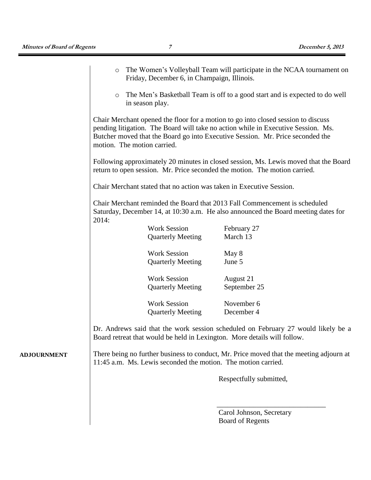**ADJOURNMENT**

| $\circ$                                                                                                   | Friday, December 6, in Champaign, Illinois.                   | The Women's Volleyball Team will participate in the NCAA tournament on                                                                                                                                                                                   |  |  |  |  |
|-----------------------------------------------------------------------------------------------------------|---------------------------------------------------------------|----------------------------------------------------------------------------------------------------------------------------------------------------------------------------------------------------------------------------------------------------------|--|--|--|--|
| The Men's Basketball Team is off to a good start and is expected to do well<br>$\circ$<br>in season play. |                                                               |                                                                                                                                                                                                                                                          |  |  |  |  |
|                                                                                                           | motion. The motion carried.                                   | Chair Merchant opened the floor for a motion to go into closed session to discuss<br>pending litigation. The Board will take no action while in Executive Session. Ms.<br>Butcher moved that the Board go into Executive Session. Mr. Price seconded the |  |  |  |  |
|                                                                                                           |                                                               | Following approximately 20 minutes in closed session, Ms. Lewis moved that the Board<br>return to open session. Mr. Price seconded the motion. The motion carried.                                                                                       |  |  |  |  |
|                                                                                                           |                                                               | Chair Merchant stated that no action was taken in Executive Session.                                                                                                                                                                                     |  |  |  |  |
| 2014:                                                                                                     |                                                               | Chair Merchant reminded the Board that 2013 Fall Commencement is scheduled<br>Saturday, December 14, at 10:30 a.m. He also announced the Board meeting dates for                                                                                         |  |  |  |  |
|                                                                                                           | <b>Work Session</b>                                           | February 27                                                                                                                                                                                                                                              |  |  |  |  |
|                                                                                                           | <b>Quarterly Meeting</b>                                      | March 13                                                                                                                                                                                                                                                 |  |  |  |  |
|                                                                                                           | <b>Work Session</b>                                           | May 8                                                                                                                                                                                                                                                    |  |  |  |  |
|                                                                                                           | <b>Quarterly Meeting</b>                                      | June 5                                                                                                                                                                                                                                                   |  |  |  |  |
|                                                                                                           | <b>Work Session</b>                                           | August 21                                                                                                                                                                                                                                                |  |  |  |  |
|                                                                                                           | <b>Quarterly Meeting</b>                                      | September 25                                                                                                                                                                                                                                             |  |  |  |  |
|                                                                                                           | <b>Work Session</b><br><b>Quarterly Meeting</b>               | November 6<br>December 4                                                                                                                                                                                                                                 |  |  |  |  |
|                                                                                                           | 11:45 a.m. Ms. Lewis seconded the motion. The motion carried. | Dr. Andrews said that the work session scheduled on February 27 would likely be a<br>Board retreat that would be held in Lexington. More details will follow.<br>There being no further business to conduct, Mr. Price moved that the meeting adjourn at |  |  |  |  |
|                                                                                                           |                                                               | Respectfully submitted,                                                                                                                                                                                                                                  |  |  |  |  |
|                                                                                                           |                                                               | Carol Johnson, Secretary                                                                                                                                                                                                                                 |  |  |  |  |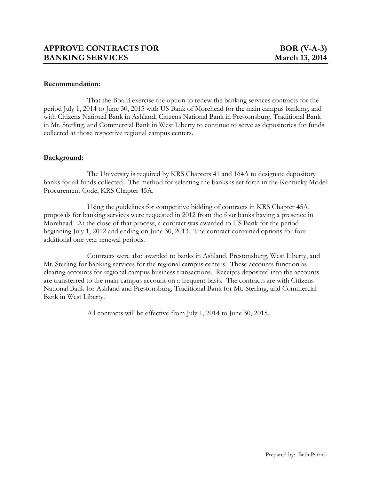That the Board exercise the option to renew the banking services contracts for the period July 1, 2014 to June 30, 2015 with US Bank of Morehead for the main campus banking, and with Citizens National Bank in Ashland, Citizens National Bank in Prestonsburg, Traditional Bank in Mt. Sterling, and Commercial Bank in West Liberty to continue to serve as depositories for funds collected at those respective regional campus centers.

### **Background:**

The University is required by KRS Chapters 41 and 164A to designate depository banks for all funds collected. The method for selecting the banks is set forth in the Kentucky Model Procurement Code, KRS Chapter 45A.

Using the guidelines for competitive bidding of contracts in KRS Chapter 45A, proposals for banking services were requested in 2012 from the four banks having a presence in Morehead. At the close of that process, a contract was awarded to US Bank for the period beginning July 1, 2012 and ending on June 30, 2013. The contract contained options for four additional one-year renewal periods.

Contracts were also awarded to banks in Ashland, Prestonsburg, West Liberty, and Mt. Sterling for banking services for the regional campus centers. These accounts function as clearing accounts for regional campus business transactions. Receipts deposited into the accounts are transferred to the main campus account on a frequent basis. The contracts are with Citizens National Bank for Ashland and Prestonsburg, Traditional Bank for Mt. Sterling, and Commercial Bank in West Liberty.

All contracts will be effective from July 1, 2014 to June 30, 2015.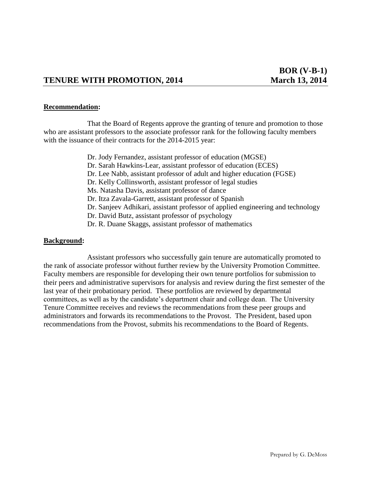# **TENURE WITH PROMOTION, 2014** March 13, 2014

#### **Recommendation:**

That the Board of Regents approve the granting of tenure and promotion to those who are assistant professors to the associate professor rank for the following faculty members with the issuance of their contracts for the 2014-2015 year:

> Dr. Jody Fernandez, assistant professor of education (MGSE) Dr. Sarah Hawkins-Lear, assistant professor of education (ECES) Dr. Lee Nabb, assistant professor of adult and higher education (FGSE) Dr. Kelly Collinsworth, assistant professor of legal studies Ms. Natasha Davis, assistant professor of dance Dr. Itza Zavala-Garrett, assistant professor of Spanish Dr. Sanjeev Adhikari, assistant professor of applied engineering and technology Dr. David Butz, assistant professor of psychology Dr. R. Duane Skaggs, assistant professor of mathematics

#### **Background:**

Assistant professors who successfully gain tenure are automatically promoted to the rank of associate professor without further review by the University Promotion Committee. Faculty members are responsible for developing their own tenure portfolios for submission to their peers and administrative supervisors for analysis and review during the first semester of the last year of their probationary period. These portfolios are reviewed by departmental committees, as well as by the candidate's department chair and college dean. The University Tenure Committee receives and reviews the recommendations from these peer groups and administrators and forwards its recommendations to the Provost. The President, based upon recommendations from the Provost, submits his recommendations to the Board of Regents.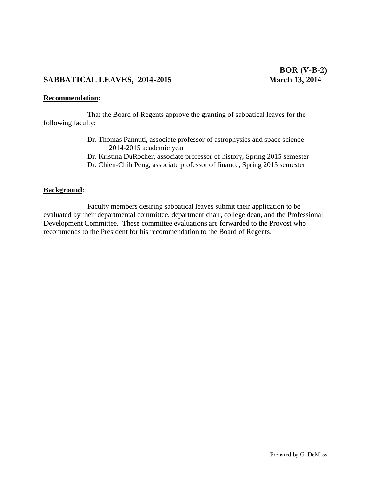That the Board of Regents approve the granting of sabbatical leaves for the following faculty:

- Dr. Thomas Pannuti, associate professor of astrophysics and space science 2014-2015 academic year
- Dr. Kristina DuRocher, associate professor of history, Spring 2015 semester
- Dr. Chien-Chih Peng, associate professor of finance, Spring 2015 semester

### **Background:**

Faculty members desiring sabbatical leaves submit their application to be evaluated by their departmental committee, department chair, college dean, and the Professional Development Committee. These committee evaluations are forwarded to the Provost who recommends to the President for his recommendation to the Board of Regents.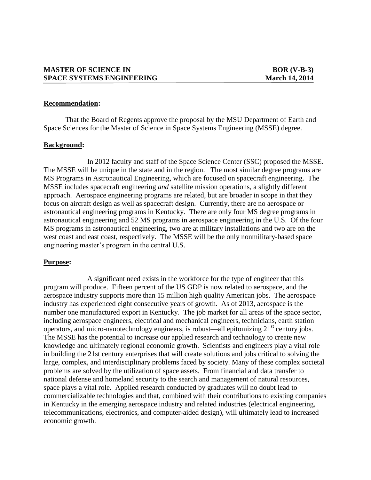That the Board of Regents approve the proposal by the MSU Department of Earth and Space Sciences for the Master of Science in Space Systems Engineering (MSSE) degree.

#### **Background:**

In 2012 faculty and staff of the Space Science Center (SSC) proposed the MSSE. The MSSE will be unique in the state and in the region. The most similar degree programs are MS Programs in Astronautical Engineering, which are focused on spacecraft engineering. The MSSE includes spacecraft engineering *and* satellite mission operations, a slightly different approach. Aerospace engineering programs are related, but are broader in scope in that they focus on aircraft design as well as spacecraft design. Currently, there are no aerospace or astronautical engineering programs in Kentucky. There are only four MS degree programs in astronautical engineering and 52 MS programs in aerospace engineering in the U.S. Of the four MS programs in astronautical engineering, two are at military installations and two are on the west coast and east coast, respectively. The MSSE will be the only nonmilitary-based space engineering master's program in the central U.S.

#### **Purpose:**

A significant need exists in the workforce for the type of engineer that this program will produce. Fifteen percent of the US GDP is now related to aerospace, and the aerospace industry supports more than 15 million high quality American jobs. The aerospace industry has experienced eight consecutive years of growth. As of 2013, aerospace is the number one manufactured export in Kentucky. The job market for all areas of the space sector, including aerospace engineers, electrical and mechanical engineers, technicians, earth station operators, and micro-nanotechnology engineers, is robust—all epitomizing  $21<sup>st</sup>$  century jobs. The MSSE has the potential to increase our applied research and technology to create new knowledge and ultimately regional economic growth. Scientists and engineers play a vital role in building the 21st century enterprises that will create solutions and jobs critical to solving the large, complex, and interdisciplinary problems faced by society. Many of these complex societal problems are solved by the utilization of space assets. From financial and data transfer to national defense and homeland security to the search and management of natural resources, space plays a vital role. Applied research conducted by graduates will no doubt lead to commercializable technologies and that, combined with their contributions to existing companies in Kentucky in the emerging aerospace industry and related industries (electrical engineering, telecommunications, electronics, and computer-aided design), will ultimately lead to increased economic growth.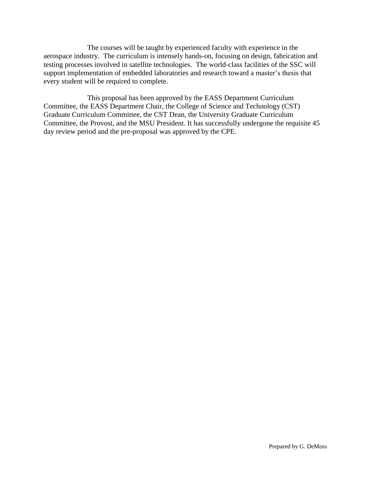The courses will be taught by experienced faculty with experience in the aerospace industry. The curriculum is intensely hands-on, focusing on design, fabrication and testing processes involved in satellite technologies. The world-class facilities of the SSC will support implementation of embedded laboratories and research toward a master's thesis that every student will be required to complete.

This proposal has been approved by the EASS Department Curriculum Committee, the EASS Department Chair, the College of Science and Technology (CST) Graduate Curriculum Committee, the CST Dean, the University Graduate Curriculum Committee, the Provost, and the MSU President. It has successfully undergone the requisite 45 day review period and the pre-proposal was approved by the CPE.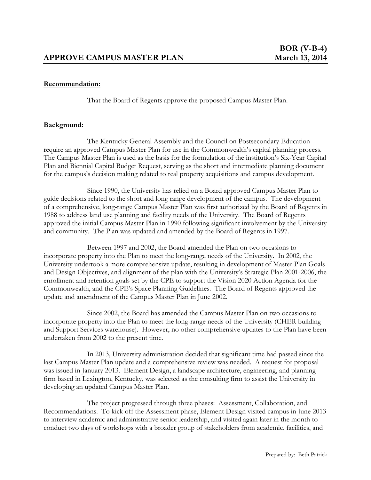That the Board of Regents approve the proposed Campus Master Plan.

### **Background:**

The Kentucky General Assembly and the Council on Postsecondary Education require an approved Campus Master Plan for use in the Commonwealth's capital planning process. The Campus Master Plan is used as the basis for the formulation of the institution's Six-Year Capital Plan and Biennial Capital Budget Request, serving as the short and intermediate planning document for the campus's decision making related to real property acquisitions and campus development.

Since 1990, the University has relied on a Board approved Campus Master Plan to guide decisions related to the short and long range development of the campus. The development of a comprehensive, long-range Campus Master Plan was first authorized by the Board of Regents in 1988 to address land use planning and facility needs of the University. The Board of Regents approved the initial Campus Master Plan in 1990 following significant involvement by the University and community. The Plan was updated and amended by the Board of Regents in 1997.

Between 1997 and 2002, the Board amended the Plan on two occasions to incorporate property into the Plan to meet the long-range needs of the University. In 2002, the University undertook a more comprehensive update, resulting in development of Master Plan Goals and Design Objectives, and alignment of the plan with the University's Strategic Plan 2001-2006, the enrollment and retention goals set by the CPE to support the Vision 2020 Action Agenda for the Commonwealth, and the CPE's Space Planning Guidelines. The Board of Regents approved the update and amendment of the Campus Master Plan in June 2002.

Since 2002, the Board has amended the Campus Master Plan on two occasions to incorporate property into the Plan to meet the long-range needs of the University (CHER building and Support Services warehouse). However, no other comprehensive updates to the Plan have been undertaken from 2002 to the present time.

In 2013, University administration decided that significant time had passed since the last Campus Master Plan update and a comprehensive review was needed. A request for proposal was issued in January 2013. Element Design, a landscape architecture, engineering, and planning firm based in Lexington, Kentucky, was selected as the consulting firm to assist the University in developing an updated Campus Master Plan.

The project progressed through three phases: Assessment, Collaboration, and Recommendations. To kick off the Assessment phase, Element Design visited campus in June 2013 to interview academic and administrative senior leadership, and visited again later in the month to conduct two days of workshops with a broader group of stakeholders from academic, facilities, and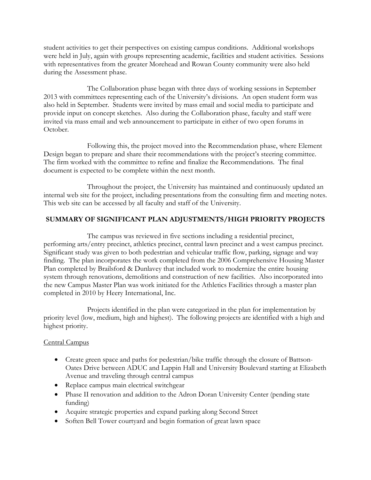student activities to get their perspectives on existing campus conditions. Additional workshops were held in July, again with groups representing academic, facilities and student activities. Sessions with representatives from the greater Morehead and Rowan County community were also held during the Assessment phase.

The Collaboration phase began with three days of working sessions in September 2013 with committees representing each of the University's divisions. An open student form was also held in September. Students were invited by mass email and social media to participate and provide input on concept sketches. Also during the Collaboration phase, faculty and staff were invited via mass email and web announcement to participate in either of two open forums in October.

Following this, the project moved into the Recommendation phase, where Element Design began to prepare and share their recommendations with the project's steering committee. The firm worked with the committee to refine and finalize the Recommendations. The final document is expected to be complete within the next month.

Throughout the project, the University has maintained and continuously updated an internal web site for the project, including presentations from the consulting firm and meeting notes. This web site can be accessed by all faculty and staff of the University.

### **SUMMARY OF SIGNIFICANT PLAN ADJUSTMENTS/HIGH PRIORITY PROJECTS**

The campus was reviewed in five sections including a residential precinct, performing arts/entry precinct, athletics precinct, central lawn precinct and a west campus precinct. Significant study was given to both pedestrian and vehicular traffic flow, parking, signage and way finding. The plan incorporates the work completed from the 2006 Comprehensive Housing Master Plan completed by Brailsford & Dunlavey that included work to modernize the entire housing system through renovations, demolitions and construction of new facilities. Also incorporated into the new Campus Master Plan was work initiated for the Athletics Facilities through a master plan completed in 2010 by Heery International, Inc.

Projects identified in the plan were categorized in the plan for implementation by priority level (low, medium, high and highest). The following projects are identified with a high and highest priority.

### Central Campus

- Create green space and paths for pedestrian/bike traffic through the closure of Battson-Oates Drive between ADUC and Lappin Hall and University Boulevard starting at Elizabeth Avenue and traveling through central campus
- Replace campus main electrical switchgear
- Phase II renovation and addition to the Adron Doran University Center (pending state funding)
- Acquire strategic properties and expand parking along Second Street
- Soften Bell Tower courtyard and begin formation of great lawn space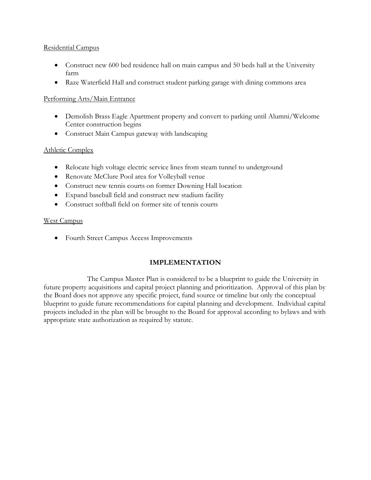### Residential Campus

- Construct new 600 bed residence hall on main campus and 50 beds hall at the University farm
- Raze Waterfield Hall and construct student parking garage with dining commons area

## Performing Arts/Main Entrance

- Demolish Brass Eagle Apartment property and convert to parking until Alumni/Welcome Center construction begins
- Construct Main Campus gateway with landscaping

### Athletic Complex

- Relocate high voltage electric service lines from steam tunnel to underground
- Renovate McClure Pool area for Volleyball venue
- Construct new tennis courts on former Downing Hall location
- Expand baseball field and construct new stadium facility
- Construct softball field on former site of tennis courts

### West Campus

• Fourth Street Campus Access Improvements

# **IMPLEMENTATION**

The Campus Master Plan is considered to be a blueprint to guide the University in future property acquisitions and capital project planning and prioritization. Approval of this plan by the Board does not approve any specific project, fund source or timeline but only the conceptual blueprint to guide future recommendations for capital planning and development. Individual capital projects included in the plan will be brought to the Board for approval according to bylaws and with appropriate state authorization as required by statute.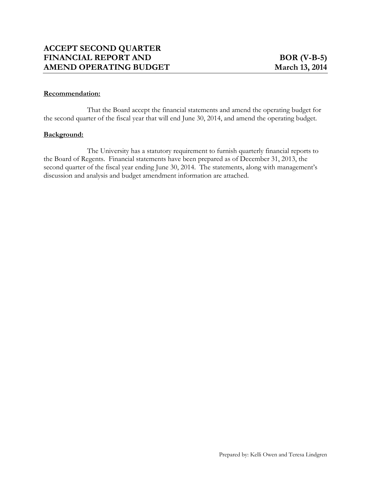That the Board accept the financial statements and amend the operating budget for the second quarter of the fiscal year that will end June 30, 2014, and amend the operating budget.

#### **Background:**

The University has a statutory requirement to furnish quarterly financial reports to the Board of Regents. Financial statements have been prepared as of December 31, 2013, the second quarter of the fiscal year ending June 30, 2014. The statements, along with management's discussion and analysis and budget amendment information are attached.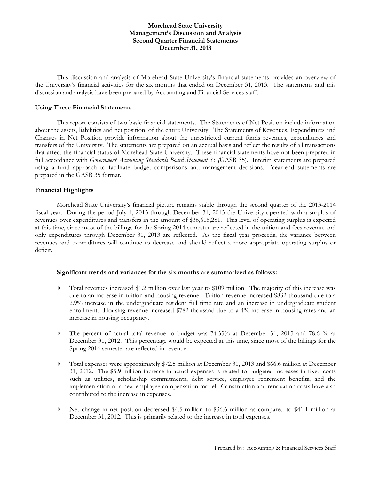#### **Morehead State University Management's Discussion and Analysis Second Quarter Financial Statements December 31, 2013**

This discussion and analysis of Morehead State University's financial statements provides an overview of the University's financial activities for the six months that ended on December 31, 2013. The statements and this discussion and analysis have been prepared by Accounting and Financial Services staff.

#### **Using These Financial Statements**

 This report consists of two basic financial statements. The Statements of Net Position include information about the assets, liabilities and net position, of the entire University. The Statements of Revenues, Expenditures and Changes in Net Position provide information about the unrestricted current funds revenues, expenditures and transfers of the University. The statements are prepared on an accrual basis and reflect the results of all transactions that affect the financial status of Morehead State University. These financial statements have not been prepared in full accordance with *Government Accounting Standards Board Statement 35 (*GASB 35). Interim statements are prepared using a fund approach to facilitate budget comparisons and management decisions. Year-end statements are prepared in the GASB 35 format.

#### **Financial Highlights**

 Morehead State University's financial picture remains stable through the second quarter of the 2013-2014 fiscal year. During the period July 1, 2013 through December 31, 2013 the University operated with a surplus of revenues over expenditures and transfers in the amount of \$36,616,281. This level of operating surplus is expected at this time, since most of the billings for the Spring 2014 semester are reflected in the tuition and fees revenue and only expenditures through December 31, 2013 are reflected. As the fiscal year proceeds, the variance between revenues and expenditures will continue to decrease and should reflect a more appropriate operating surplus or deficit.

#### **Significant trends and variances for the six months are summarized as follows:**

- Total revenues increased \$1.2 million over last year to \$109 million. The majority of this increase was due to an increase in tuition and housing revenue. Tuition revenue increased \$832 thousand due to a 2.9% increase in the undergraduate resident full time rate and an increase in undergraduate student enrollment. Housing revenue increased \$782 thousand due to a 4% increase in housing rates and an increase in housing occupancy.
- The percent of actual total revenue to budget was 74.33% at December 31, 2013 and 78.61% at December 31, 2012. This percentage would be expected at this time, since most of the billings for the Spring 2014 semester are reflected in revenue.
- Total expenses were approximately \$72.5 million at December 31, 2013 and \$66.6 million at December 31, 2012. The \$5.9 million increase in actual expenses is related to budgeted increases in fixed costs such as utilities, scholarship commitments, debt service, employee retirement benefits, and the implementation of a new employee compensation model. Construction and renovation costs have also contributed to the increase in expenses.
- Net change in net position decreased \$4.5 million to \$36.6 million as compared to \$41.1 million at December 31, 2012. This is primarily related to the increase in total expenses.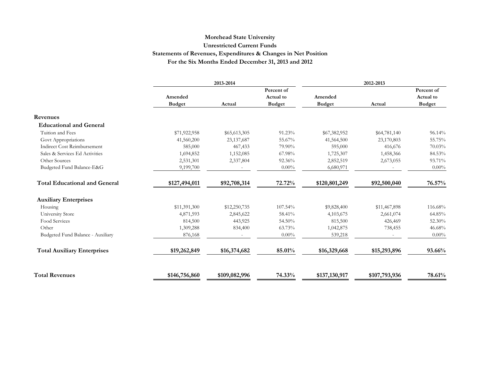### **Morehead State University Unrestricted Current Funds Statements of Revenues, Expenditures & Changes in Net Position For the Six Months Ended December 31, 2013 and 2012**

|                                      |               | 2013-2014     |               |               | 2012-2013     |               |
|--------------------------------------|---------------|---------------|---------------|---------------|---------------|---------------|
|                                      |               |               | Percent of    |               |               | Percent of    |
|                                      | Amended       |               | Actual to     | Amended       |               | Actual to     |
|                                      | <b>Budget</b> | Actual        | <b>Budget</b> | <b>Budget</b> | Actual        | <b>Budget</b> |
| Revenues                             |               |               |               |               |               |               |
| <b>Educational and General</b>       |               |               |               |               |               |               |
| Tuition and Fees                     | \$71,922,958  | \$65,613,305  | 91.23%        | \$67,382,952  | \$64,781,140  | 96.14%        |
| Govt Appropriations                  | 41,560,200    | 23,137,687    | 55.67%        | 41,564,500    | 23,170,803    | 55.75%        |
| Indirect Cost Reimbursement          | 585,000       | 467,433       | 79.90%        | 595,000       | 416,676       | 70.03%        |
| Sales & Services Ed Activities       | 1,694,852     | 1,152,085     | 67.98%        | 1,725,307     | 1,458,366     | 84.53%        |
| Other Sources                        | 2,531,301     | 2,337,804     | 92.36%        | 2,852,519     | 2,673,055     | 93.71%        |
| Budgeted Fund Balance-E&G            | 9,199,700     |               | $0.00\%$      | 6,680,971     |               | $0.00\%$      |
| <b>Total Educational and General</b> | \$127,494,011 | \$92,708,314  | 72.72%        | \$120,801,249 | \$92,500,040  | 76.57%        |
| <b>Auxiliary Enterprises</b>         |               |               |               |               |               |               |
| Housing                              | \$11,391,300  | \$12,250,735  | 107.54%       | \$9,828,400   | \$11,467,898  | 116.68%       |
| University Store                     | 4,871,593     | 2,845,622     | 58.41%        | 4,103,675     | 2,661,074     | 64.85%        |
| Food Services                        | 814,500       | 443,925       | 54.50%        | 815,500       | 426,469       | 52.30%        |
| Other                                | 1,309,288     | 834,400       | 63.73%        | 1,042,875     | 738,455       | 46.68%        |
| Budgeted Fund Balance - Auxiliary    | 876,168       |               | $0.00\%$      | 539,218       |               | $0.00\%$      |
| <b>Total Auxiliary Enterprises</b>   | \$19,262,849  | \$16,374,682  | 85.01%        | \$16,329,668  | \$15,293,896  | 93.66%        |
|                                      |               |               |               |               |               |               |
| <b>Total Revenues</b>                | \$146,756,860 | \$109,082,996 | 74.33%        | \$137,130,917 | \$107,793,936 | 78.61%        |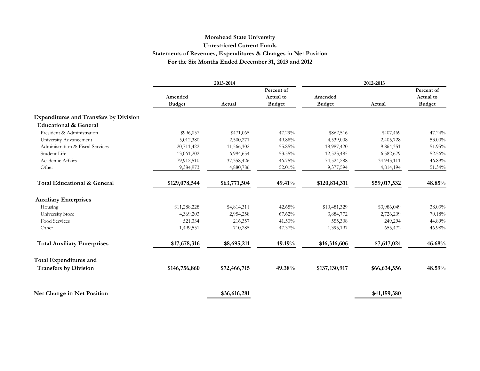### **Morehead State University Unrestricted Current Funds Statements of Revenues, Expenditures & Changes in Net Position For the Six Months Ended December 31, 2013 and 2012**

|                                               |                          | 2013-2014    |                                          |                          | 2012-2013    |                                          |
|-----------------------------------------------|--------------------------|--------------|------------------------------------------|--------------------------|--------------|------------------------------------------|
|                                               | Amended<br><b>Budget</b> | Actual       | Percent of<br>Actual to<br><b>Budget</b> | Amended<br><b>Budget</b> | Actual       | Percent of<br>Actual to<br><b>Budget</b> |
| <b>Expenditures and Transfers by Division</b> |                          |              |                                          |                          |              |                                          |
| <b>Educational &amp; General</b>              |                          |              |                                          |                          |              |                                          |
| President & Administration                    | \$996,057                | \$471,065    | 47.29%                                   | \$862,516                | \$407,469    | 47.24%                                   |
| University Advancement                        | 5,012,380                | 2,500,271    | 49.88%                                   | 4,539,008                | 2,405,728    | 53.00%                                   |
| Administration & Fiscal Services              | 20,711,422               | 11,566,302   | 55.85%                                   | 18,987,420               | 9,864,351    | 51.95%                                   |
| Student Life                                  | 13,061,202               | 6,994,654    | 53.55%                                   | 12,523,485               | 6,582,679    | 52.56%                                   |
| Academic Affairs                              | 79,912,510               | 37, 358, 426 | 46.75%                                   | 74,524,288               | 34,943,111   | 46.89%                                   |
| Other                                         | 9,384,973                | 4,880,786    | 52.01%                                   | 9,377,594                | 4,814,194    | 51.34%                                   |
| <b>Total Educational &amp; General</b>        | \$129,078,544            | \$63,771,504 | 49.41%                                   | \$120,814,311            | \$59,017,532 | 48.85%                                   |
| <b>Auxiliary Enterprises</b>                  |                          |              |                                          |                          |              |                                          |
| Housing                                       | \$11,288,228             | \$4,814,311  | 42.65%                                   | \$10,481,329             | \$3,986,049  | 38.03%                                   |
| University Store                              | 4,369,203                | 2,954,258    | 67.62%                                   | 3,884,772                | 2,726,209    | 70.18%                                   |
| Food Services                                 | 521,334                  | 216,357      | 41.50%                                   | 555,308                  | 249,294      | 44.89%                                   |
| Other                                         | 1,499,551                | 710,285      | 47.37%                                   | 1,395,197                | 655,472      | 46.98%                                   |
| <b>Total Auxiliary Enterprises</b>            | \$17,678,316             | \$8,695,211  | 49.19%                                   | \$16,316,606             | \$7,617,024  | 46.68%                                   |
| <b>Total Expenditures and</b>                 |                          |              |                                          |                          |              |                                          |
| <b>Transfers by Division</b>                  | \$146,756,860            | \$72,466,715 | 49.38%                                   | \$137,130,917            | \$66,634,556 | 48.59%                                   |
| Net Change in Net Position                    |                          | \$36,616,281 |                                          |                          | \$41,159,380 |                                          |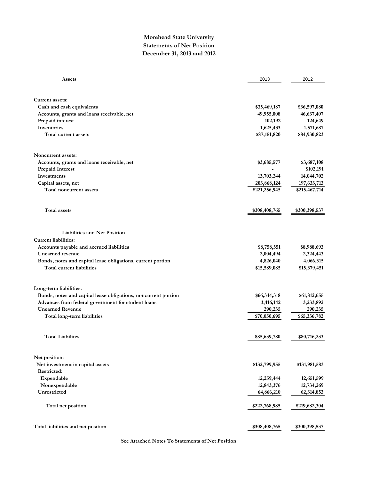### **Morehead State University Statements of Net Position December 31, 2013 and 2012**

| Assets                                                         | 2013          | 2012          |
|----------------------------------------------------------------|---------------|---------------|
|                                                                |               |               |
| Current assets:                                                |               |               |
| Cash and cash equivalents                                      | \$35,469,187  | \$36,597,080  |
| Accounts, grants and loans receivable, net                     | 49,955,008    | 46,637,407    |
| Prepaid interest                                               | 102,192       | 124,649       |
| Inventories                                                    | 1,625,433     | 1,571,687     |
| Total current assets                                           | \$87,151,820  | \$84,930,823  |
| Noncurrent assets:                                             |               |               |
| Accounts, grants and loans receivable, net                     | \$3,685,577   | \$3,687,108   |
| <b>Prepaid Interest</b>                                        |               | \$102,191     |
| Investments                                                    | 13,703,244    | 14,044,702    |
| Capital assets, net                                            | 203,868,124   | 197,633,713   |
| Total noncurrent assets                                        | \$221,256,945 | \$215,467,714 |
| <b>Total assets</b>                                            | \$308,408,765 | \$300,398,537 |
|                                                                |               |               |
| <b>Liabilities and Net Position</b>                            |               |               |
| <b>Current liabilities:</b>                                    |               |               |
| Accounts payable and accrued liabilities                       | \$8,758,551   | \$8,988,693   |
| Unearned revenue                                               | 2,004,494     | 2,324,443     |
| Bonds, notes and capital lease obligations, current portion    | 4,826,040     | 4,066,315     |
| Total current liabilities                                      | \$15,589,085  | \$15,379,451  |
| Long-term liabilities:                                         |               |               |
| Bonds, notes and capital lease obligations, noncurrent portion | \$66,344,318  | \$61,812,655  |
| Advances from federal government for student loans             | 3,416,142     | 3,233,892     |
| <b>Unearned Revenue</b>                                        | 290,235       | 290,235       |
| Total long-term liabilities                                    | \$70,050,695  | \$65,336,782  |
|                                                                |               |               |
| <b>Total Liabilites</b>                                        | \$85,639,780  | \$80,716,233  |
| Net position:                                                  |               |               |
| Net investment in capital assets                               | \$132,799,955 | \$131,981,583 |
| Restricted:                                                    |               |               |
| Expendable                                                     | 12,259,444    | 12,651,599    |
| Nonexpendable                                                  | 12,843,376    | 12,734,269    |
| Unrestricted                                                   | 64,866,210    | 62,314,853    |
| Total net position                                             | \$222,768,985 | \$219,682,304 |
| Total liabilities and net position                             | \$308,408,765 | \$300,398,537 |
|                                                                |               |               |

**See Attached Notes To Statements of Net Position**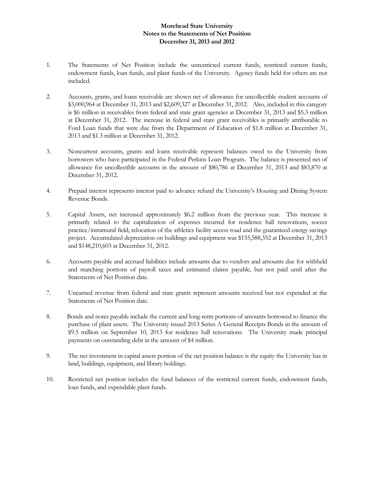### **Morehead State University Notes to the Statements of Net Position December 31, 2013 and 2012**

- 1. The Statements of Net Position include the unrestricted current funds, restricted current funds, endowment funds, loan funds, and plant funds of the University. Agency funds held for others are not included.
- 2. Accounts, grants, and loans receivable are shown net of allowance for uncollectible student accounts of \$3,000,964 at December 31, 2013 and \$2,609,327 at December 31, 2012. Also, included in this category is \$6 million in receivables from federal and state grant agencies at December 31, 2013 and \$5.3 million at December 31, 2012. The increase in federal and state grant receivables is primarily attributable to Ford Loan funds that were due from the Department of Education of \$1.8 million at December 31, 2013 and \$1.3 million at December 31, 2012.
- 3. Noncurrent accounts, grants and loans receivable represent balances owed to the University from borrowers who have participated in the Federal Perkins Loan Program. The balance is presented net of allowance for uncollectible accounts in the amount of \$80,786 at December 31, 2013 and \$83,870 at December 31, 2012.
- 4. Prepaid interest represents interest paid to advance refund the University's Housing and Dining System Revenue Bonds.
- 5. Capital Assets, net increased approximately \$6.2 million from the previous year. This increase is primarily related to the capitalization of expenses incurred for residence hall renovations, soccer practice/intramural field, relocation of the athletics facility access road and the guaranteed energy savings project. Accumulated depreciation on buildings and equipment was \$155,588,352 at December 31, 2013 and \$148,210,603 at December 31, 2012.
- 6. Accounts payable and accrued liabilities include amounts due to vendors and amounts due for withheld and matching portions of payroll taxes and estimated claims payable, but not paid until after the Statements of Net Position date.
- 7. Unearned revenue from federal and state grants represent amounts received but not expended at the Statements of Net Position date.
- 8. Bonds and notes payable include the current and long-term portions of amounts borrowed to finance the purchase of plant assets. The University issued 2013 Series A General Receipts Bonds in the amount of \$9.5 million on September 10, 2013 for residence hall renovations. The University made principal payments on outstanding debt in the amount of \$4 million.
- 9. The net investment in capital assets portion of the net position balance is the equity the University has in land, buildings, equipment, and library holdings.
- 10. Restricted net position includes the fund balances of the restricted current funds, endowment funds, loan funds, and expendable plant funds.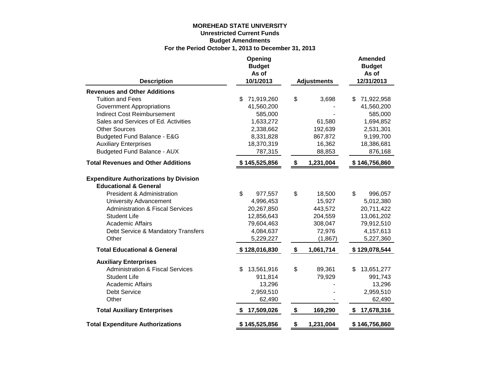### **MOREHEAD STATE UNIVERSITY Unrestricted Current Funds Budget Amendments For the Period October 1, 2013 to December 31, 2013**

| <b>Description</b>                                                                | Opening<br><b>Budget</b><br>As of<br>10/1/2013 | <b>Adjustments</b> |    | <b>Amended</b><br><b>Budget</b><br>As of<br>12/31/2013 |
|-----------------------------------------------------------------------------------|------------------------------------------------|--------------------|----|--------------------------------------------------------|
| <b>Revenues and Other Additions</b>                                               |                                                |                    |    |                                                        |
| <b>Tuition and Fees</b>                                                           | 71,919,260<br>\$                               | \$<br>3,698        | \$ | 71,922,958                                             |
| <b>Government Appropriations</b>                                                  | 41,560,200                                     |                    |    | 41,560,200                                             |
| <b>Indirect Cost Reimbursement</b>                                                | 585,000                                        |                    |    | 585,000                                                |
| Sales and Services of Ed. Activities                                              | 1,633,272                                      | 61,580             |    | 1,694,852                                              |
| <b>Other Sources</b>                                                              | 2,338,662                                      | 192,639            |    | 2,531,301                                              |
| Budgeted Fund Balance - E&G                                                       | 8,331,828                                      | 867,872            |    | 9,199,700                                              |
| <b>Auxiliary Enterprises</b>                                                      | 18,370,319                                     | 16,362             |    | 18,386,681                                             |
| <b>Budgeted Fund Balance - AUX</b>                                                | 787,315                                        | 88,853             |    | 876,168                                                |
| <b>Total Revenues and Other Additions</b>                                         | \$145,525,856                                  | \$<br>1,231,004    |    | \$146,756,860                                          |
| <b>Expenditure Authorizations by Division</b><br><b>Educational &amp; General</b> |                                                |                    |    |                                                        |
| President & Administration                                                        | \$<br>977,557                                  | \$<br>18,500       | \$ | 996,057                                                |
| <b>University Advancement</b>                                                     | 4,996,453                                      | 15,927             |    | 5,012,380                                              |
| <b>Administration &amp; Fiscal Services</b>                                       | 20,267,850                                     | 443,572            |    | 20,711,422                                             |
| <b>Student Life</b>                                                               | 12,856,643                                     | 204,559            |    | 13,061,202                                             |
| <b>Academic Affairs</b>                                                           | 79,604,463                                     | 308,047            |    | 79,912,510                                             |
| Debt Service & Mandatory Transfers                                                | 4,084,637                                      | 72,976             |    | 4,157,613                                              |
| Other                                                                             | 5,229,227                                      | (1, 867)           |    | 5,227,360                                              |
| <b>Total Educational &amp; General</b>                                            | \$128,016,830                                  | \$<br>1,061,714    |    | \$129,078,544                                          |
| <b>Auxiliary Enterprises</b>                                                      |                                                |                    |    |                                                        |
| <b>Administration &amp; Fiscal Services</b>                                       | \$<br>13,561,916                               | \$<br>89,361       | S  | 13,651,277                                             |
| <b>Student Life</b>                                                               | 911,814                                        | 79,929             |    | 991,743                                                |
| <b>Academic Affairs</b>                                                           | 13,296                                         |                    |    | 13,296                                                 |
| <b>Debt Service</b>                                                               | 2,959,510                                      |                    |    | 2,959,510                                              |
| Other                                                                             | 62,490                                         |                    |    | 62,490                                                 |
| <b>Total Auxiliary Enterprises</b>                                                | 17,509,026                                     | \$<br>169,290      | \$ | 17,678,316                                             |
| <b>Total Expenditure Authorizations</b>                                           | \$145,525,856                                  | \$<br>1,231,004    |    | \$146,756,860                                          |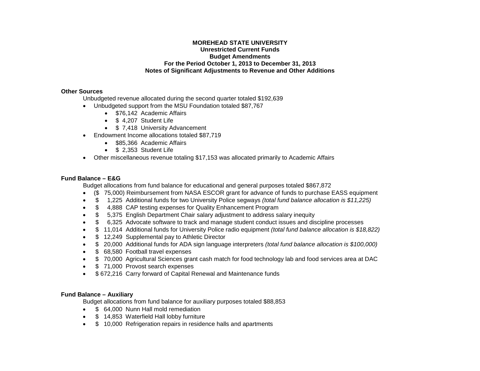#### **MOREHEAD STATE UNIVERSITY Unrestricted Current Funds Budget Amendments For the Period October 1, 2013 to December 31, 2013 Notes of Significant Adjustments to Revenue and Other Additions**

#### **Other Sources**

Unbudgeted revenue allocated during the second quarter totaled \$192,639

- Unbudgeted support from the MSU Foundation totaled \$87,767
	- \$76,142 Academic Affairs
	- \$ 4.207 Student Life
	- \$7,418 University Advancement
- Endowment Income allocations totaled \$87,719
	- \$85,366 Academic Affairs
	- \$ 2.353 Student Life
- Other miscellaneous revenue totaling \$17,153 was allocated primarily to Academic Affairs

#### **Fund Balance – E&G**

Budget allocations from fund balance for educational and general purposes totaled \$867,872

- (\$ 75,000) Reimbursement from NASA ESCOR grant for advance of funds to purchase EASS equipment
- \$ 1,225 Additional funds for two University Police segways *(total fund balance allocation is \$11,225)*
- \$ 4,888 CAP testing expenses for Quality Enhancement Program
- \$ 5,375 English Department Chair salary adjustment to address salary inequity
- \$ 6,325 Advocate software to track and manage student conduct issues and discipline processes
- \$ 11,014 Additional funds for University Police radio equipment *(total fund balance allocation is \$18,822)*
- \$12,249 Supplemental pay to Athletic Director
- \$ 20,000 Additional funds for ADA sign language interpreters *(total fund balance allocation is \$100,000)*
- \$ 68,580 Football travel expenses
- \$ 70,000 Agricultural Sciences grant cash match for food technology lab and food services area at DAC
- \$71,000 Provost search expenses
- \$ 672,216 Carry forward of Capital Renewal and Maintenance funds

#### **Fund Balance – Auxiliary**

Budget allocations from fund balance for auxiliary purposes totaled \$88,853

- \$ 64,000 Nunn Hall mold remediation
- \$ 14,853 Waterfield Hall lobby furniture
- $$ 10,000$  Refrigeration repairs in residence halls and apartments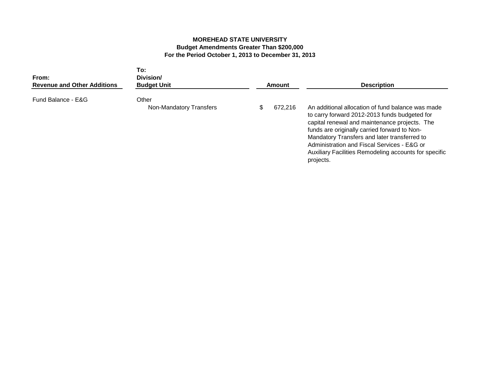### **MOREHEAD STATE UNIVERSITY Budget Amendments Greater Than \$200,000 For the Period October 1, 2013 to December 31, 2013**

| From:<br><b>Revenue and Other Additions</b> | To:<br>Division/<br><b>Budget Unit</b> | Amount  | <b>Description</b>                                                                                                                                                                                                                                                                                                                                                       |  |
|---------------------------------------------|----------------------------------------|---------|--------------------------------------------------------------------------------------------------------------------------------------------------------------------------------------------------------------------------------------------------------------------------------------------------------------------------------------------------------------------------|--|
| Fund Balance - E&G                          | Other<br>Non-Mandatory Transfers       | 672,216 | An additional allocation of fund balance was made<br>to carry forward 2012-2013 funds budgeted for<br>capital renewal and maintenance projects. The<br>funds are originally carried forward to Non-<br>Mandatory Transfers and later transferred to<br>Administration and Fiscal Services - E&G or<br>Auxiliary Facilities Remodeling accounts for specific<br>projects. |  |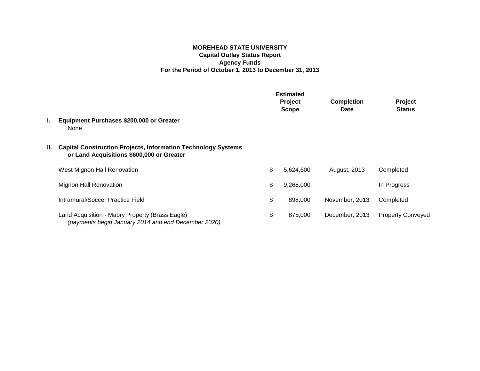### **MOREHEAD STATE UNIVERSITY Capital Outlay Status Report Agency Funds For the Period of October 1, 2013 to December 31, 2013**

|    |                                                                                                                   |         | <b>Estimated</b> |                   |                          |  |
|----|-------------------------------------------------------------------------------------------------------------------|---------|------------------|-------------------|--------------------------|--|
|    |                                                                                                                   | Project |                  | <b>Completion</b> | Project                  |  |
|    |                                                                                                                   |         | <b>Scope</b>     | <b>Date</b>       | <b>Status</b>            |  |
| L. | Equipment Purchases \$200,000 or Greater<br>None                                                                  |         |                  |                   |                          |  |
| Ш. | <b>Capital Construction Projects, Information Technology Systems</b><br>or Land Acquisitions \$600,000 or Greater |         |                  |                   |                          |  |
|    | West Mignon Hall Renovation                                                                                       | \$      | 5,624,600        | August, 2013      | Completed                |  |
|    | <b>Mignon Hall Renovation</b>                                                                                     | \$      | 9,268,000        |                   | In Progress              |  |
|    | Intramural/Soccer Practice Field                                                                                  | \$      | 898,000          | November, 2013    | Completed                |  |
|    | Land Acquisition - Mabry Property (Brass Eagle)<br>(payments begin January 2014 and end December 2020)            | \$      | 875,000          | December, 2013    | <b>Property Conveyed</b> |  |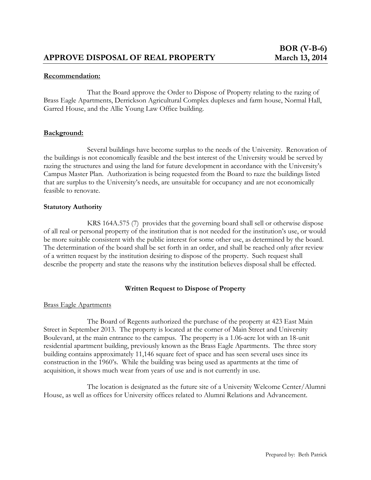That the Board approve the Order to Dispose of Property relating to the razing of Brass Eagle Apartments, Derrickson Agricultural Complex duplexes and farm house, Normal Hall, Garred House, and the Allie Young Law Office building.

### **Background:**

Several buildings have become surplus to the needs of the University. Renovation of the buildings is not economically feasible and the best interest of the University would be served by razing the structures and using the land for future development in accordance with the University's Campus Master Plan. Authorization is being requested from the Board to raze the buildings listed that are surplus to the University's needs, are unsuitable for occupancy and are not economically feasible to renovate.

### **Statutory Authority**

KRS 164A.575 (7) provides that the governing board shall sell or otherwise dispose of all real or personal property of the institution that is not needed for the institution's use, or would be more suitable consistent with the public interest for some other use, as determined by the board. The determination of the board shall be set forth in an order, and shall be reached only after review of a written request by the institution desiring to dispose of the property. Such request shall describe the property and state the reasons why the institution believes disposal shall be effected.

### **Written Request to Dispose of Property**

#### Brass Eagle Apartments

The Board of Regents authorized the purchase of the property at 423 East Main Street in September 2013. The property is located at the corner of Main Street and University Boulevard, at the main entrance to the campus. The property is a 1.06-acre lot with an 18-unit residential apartment building, previously known as the Brass Eagle Apartments. The three story building contains approximately 11,146 square feet of space and has seen several uses since its construction in the 1960's. While the building was being used as apartments at the time of acquisition, it shows much wear from years of use and is not currently in use.

The location is designated as the future site of a University Welcome Center/Alumni House, as well as offices for University offices related to Alumni Relations and Advancement.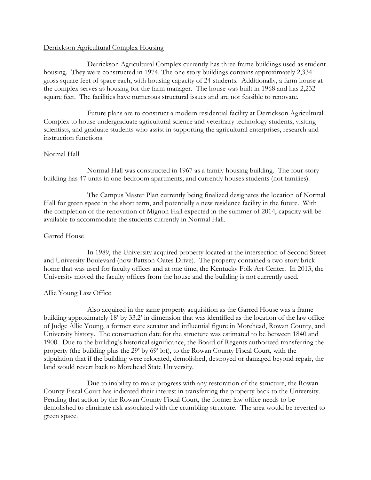### Derrickson Agricultural Complex Housing

Derrickson Agricultural Complex currently has three frame buildings used as student housing. They were constructed in 1974. The one story buildings contains approximately 2,334 gross square feet of space each, with housing capacity of 24 students. Additionally, a farm house at the complex serves as housing for the farm manager. The house was built in 1968 and has 2,232 square feet. The facilities have numerous structural issues and are not feasible to renovate.

Future plans are to construct a modern residential facility at Derrickson Agricultural Complex to house undergraduate agricultural science and veterinary technology students, visiting scientists, and graduate students who assist in supporting the agricultural enterprises, research and instruction functions.

### Normal Hall

Normal Hall was constructed in 1967 as a family housing building. The four-story building has 47 units in one-bedroom apartments, and currently houses students (not families).

The Campus Master Plan currently being finalized designates the location of Normal Hall for green space in the short term, and potentially a new residence facility in the future. With the completion of the renovation of Mignon Hall expected in the summer of 2014, capacity will be available to accommodate the students currently in Normal Hall.

### Garred House

In 1989, the University acquired property located at the intersection of Second Street and University Boulevard (now Battson-Oates Drive). The property contained a two-story brick home that was used for faculty offices and at one time, the Kentucky Folk Art Center. In 2013, the University moved the faculty offices from the house and the building is not currently used.

#### Allie Young Law Office

Also acquired in the same property acquisition as the Garred House was a frame building approximately 18' by 33.2' in dimension that was identified as the location of the law office of Judge Allie Young, a former state senator and influential figure in Morehead, Rowan County, and University history. The construction date for the structure was estimated to be between 1840 and 1900. Due to the building's historical significance, the Board of Regents authorized transferring the property (the building plus the 29' by 69' lot), to the Rowan County Fiscal Court, with the stipulation that if the building were relocated, demolished, destroyed or damaged beyond repair, the land would revert back to Morehead State University.

Due to inability to make progress with any restoration of the structure, the Rowan County Fiscal Court has indicated their interest in transferring the property back to the University. Pending that action by the Rowan County Fiscal Court, the former law office needs to be demolished to eliminate risk associated with the crumbling structure. The area would be reverted to green space.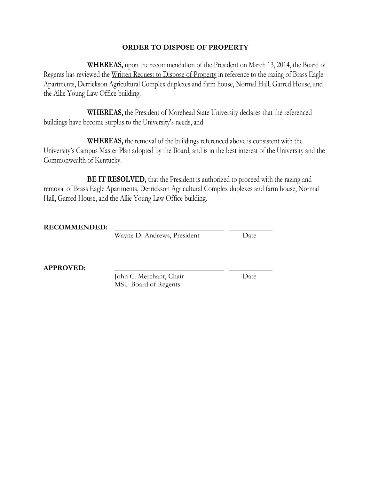### **ORDER TO DISPOSE OF PROPERTY**

**WHEREAS,** upon the recommendation of the President on March 13, 2014, the Board of Regents has reviewed the Written Request to Dispose of Property in reference to the razing of Brass Eagle Apartments, Derrickson Agricultural Complex duplexes and farm house, Normal Hall, Garred House, and the Allie Young Law Office building.

**WHEREAS,** the President of Morehead State University declares that the referenced buildings have become surplus to the University's needs, and

**WHEREAS,** the removal of the buildings referenced above is consistent with the University's Campus Master Plan adopted by the Board, and is in the best interest of the University and the Commonwealth of Kentucky.

**BE IT RESOLVED,** that the President is authorized to proceed with the razing and removal of Brass Eagle Apartments, Derrickson Agricultural Complex duplexes and farm house, Normal Hall, Garred House, and the Allie Young Law Office building.

**RECOMMENDED: \_\_\_\_\_\_\_\_\_\_\_\_\_\_\_\_\_\_\_\_\_\_\_\_\_\_\_\_\_\_ \_\_\_\_\_\_\_\_\_\_\_\_**

Wayne D. Andrews, President Date

**APPROVED: \_\_\_\_\_\_\_\_\_\_\_\_\_\_\_\_\_\_\_\_\_\_\_\_\_\_\_\_\_\_ \_\_\_\_\_\_\_\_\_\_\_\_**

John C. Merchant, Chair Date MSU Board of Regents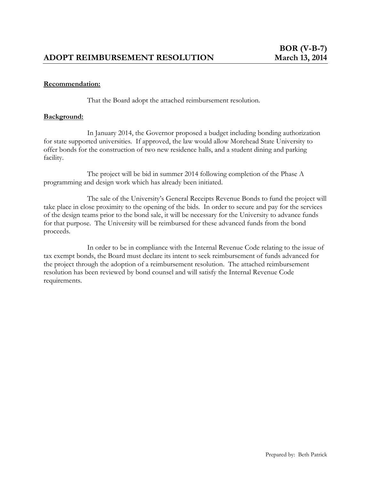That the Board adopt the attached reimbursement resolution.

### **Background:**

In January 2014, the Governor proposed a budget including bonding authorization for state supported universities. If approved, the law would allow Morehead State University to offer bonds for the construction of two new residence halls, and a student dining and parking facility.

The project will be bid in summer 2014 following completion of the Phase A programming and design work which has already been initiated.

The sale of the University's General Receipts Revenue Bonds to fund the project will take place in close proximity to the opening of the bids. In order to secure and pay for the services of the design teams prior to the bond sale, it will be necessary for the University to advance funds for that purpose. The University will be reimbursed for these advanced funds from the bond proceeds.

In order to be in compliance with the Internal Revenue Code relating to the issue of tax exempt bonds, the Board must declare its intent to seek reimbursement of funds advanced for the project through the adoption of a reimbursement resolution. The attached reimbursement resolution has been reviewed by bond counsel and will satisfy the Internal Revenue Code requirements.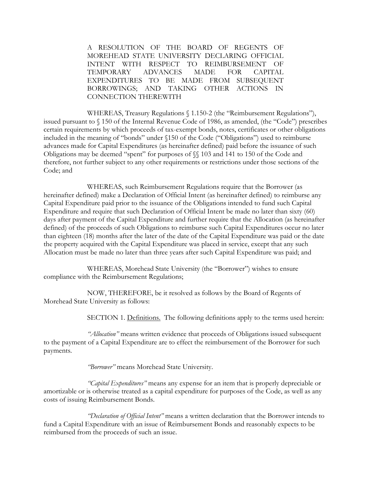A RESOLUTION OF THE BOARD OF REGENTS OF MOREHEAD STATE UNIVERSITY DECLARING OFFICIAL INTENT WITH RESPECT TO REIMBURSEMENT OF TEMPORARY ADVANCES MADE FOR CAPITAL EXPENDITURES TO BE MADE FROM SUBSEQUENT BORROWINGS; AND TAKING OTHER ACTIONS IN CONNECTION THEREWITH

WHEREAS, Treasury Regulations § 1.150-2 (the "Reimbursement Regulations"), issued pursuant to § 150 of the Internal Revenue Code of 1986, as amended, (the "Code") prescribes certain requirements by which proceeds of tax-exempt bonds, notes, certificates or other obligations included in the meaning of "bonds" under §150 of the Code ("Obligations") used to reimburse advances made for Capital Expenditures (as hereinafter defined) paid before the issuance of such Obligations may be deemed "spent" for purposes of §§ 103 and 141 to 150 of the Code and therefore, not further subject to any other requirements or restrictions under those sections of the Code; and

WHEREAS, such Reimbursement Regulations require that the Borrower (as hereinafter defined) make a Declaration of Official Intent (as hereinafter defined) to reimburse any Capital Expenditure paid prior to the issuance of the Obligations intended to fund such Capital Expenditure and require that such Declaration of Official Intent be made no later than sixty (60) days after payment of the Capital Expenditure and further require that the Allocation (as hereinafter defined) of the proceeds of such Obligations to reimburse such Capital Expenditures occur no later than eighteen (18) months after the later of the date of the Capital Expenditure was paid or the date the property acquired with the Capital Expenditure was placed in service, except that any such Allocation must be made no later than three years after such Capital Expenditure was paid; and

WHEREAS, Morehead State University (the "Borrower") wishes to ensure compliance with the Reimbursement Regulations;

NOW, THEREFORE, be it resolved as follows by the Board of Regents of Morehead State University as follows:

SECTION 1. Definitions. The following definitions apply to the terms used herein:

*"Allocation"* means written evidence that proceeds of Obligations issued subsequent to the payment of a Capital Expenditure are to effect the reimbursement of the Borrower for such payments.

*"Borrower"* means Morehead State University.

*"Capital Expenditures"* means any expense for an item that is properly depreciable or amortizable or is otherwise treated as a capital expenditure for purposes of the Code, as well as any costs of issuing Reimbursement Bonds.

*"Declaration of Official Intent"* means a written declaration that the Borrower intends to fund a Capital Expenditure with an issue of Reimbursement Bonds and reasonably expects to be reimbursed from the proceeds of such an issue.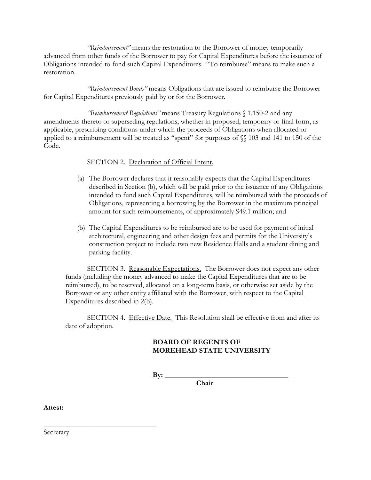*"Reimbursement"* means the restoration to the Borrower of money temporarily advanced from other funds of the Borrower to pay for Capital Expenditures before the issuance of Obligations intended to fund such Capital Expenditures. "To reimburse" means to make such a restoration.

*"Reimbursement Bonds"* means Obligations that are issued to reimburse the Borrower for Capital Expenditures previously paid by or for the Borrower.

*"Reimbursement Regulations"* means Treasury Regulations § 1.150-2 and any amendments thereto or superseding regulations, whether in proposed, temporary or final form, as applicable, prescribing conditions under which the proceeds of Obligations when allocated or applied to a reimbursement will be treated as "spent" for purposes of §§ 103 and 141 to 150 of the Code.

SECTION 2. Declaration of Official Intent.

- (a) The Borrower declares that it reasonably expects that the Capital Expenditures described in Section (b), which will be paid prior to the issuance of any Obligations intended to fund such Capital Expenditures, will be reimbursed with the proceeds of Obligations, representing a borrowing by the Borrower in the maximum principal amount for such reimbursements, of approximately \$49.1 million; and
- (b) The Capital Expenditures to be reimbursed are to be used for payment of initial architectural, engineering and other design fees and permits for the University's construction project to include two new Residence Halls and a student dining and parking facility.

SECTION 3. Reasonable Expectations. The Borrower does not expect any other funds (including the money advanced to make the Capital Expenditures that are to be reimbursed), to be reserved, allocated on a long-term basis, or otherwise set aside by the Borrower or any other entity affiliated with the Borrower, with respect to the Capital Expenditures described in 2(b).

SECTION 4. Effective Date. This Resolution shall be effective from and after its date of adoption.

# **BOARD OF REGENTS OF MOREHEAD STATE UNIVERSITY**

**By: \_\_\_\_\_\_\_\_\_\_\_\_\_\_\_\_\_\_\_\_\_\_\_\_\_\_\_\_\_\_\_\_\_\_**

**Chair**

**Attest:**

Secretary

 $\overline{\phantom{a}}$  , where  $\overline{\phantom{a}}$  , where  $\overline{\phantom{a}}$  , where  $\overline{\phantom{a}}$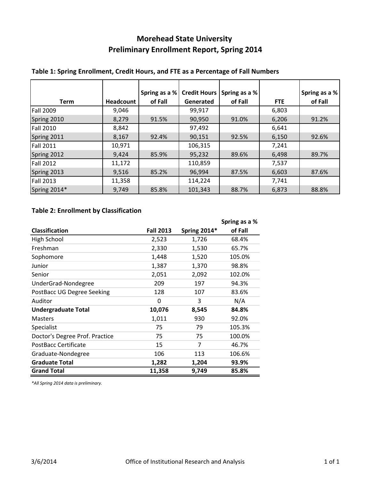# **Morehead State University Preliminary Enrollment Report, Spring 2014**

|                  |           | Spring as a % | <b>Credit Hours</b> | Spring as a % |            | Spring as a % |
|------------------|-----------|---------------|---------------------|---------------|------------|---------------|
| <b>Term</b>      | Headcount | of Fall       | Generated           | of Fall       | <b>FTE</b> | of Fall       |
| <b>Fall 2009</b> | 9,046     |               | 99,917              |               | 6,803      |               |
| Spring 2010      | 8,279     | 91.5%         | 90,950              | 91.0%         | 6,206      | 91.2%         |
| <b>Fall 2010</b> | 8,842     |               | 97,492              |               | 6,641      |               |
| Spring 2011      | 8,167     | 92.4%         | 90,151              | 92.5%         | 6,150      | 92.6%         |
| <b>Fall 2011</b> | 10,971    |               | 106,315             |               | 7,241      |               |
| Spring 2012      | 9,424     | 85.9%         | 95,232              | 89.6%         | 6,498      | 89.7%         |
| <b>Fall 2012</b> | 11,172    |               | 110,859             |               | 7,537      |               |
| Spring 2013      | 9,516     | 85.2%         | 96,994              | 87.5%         | 6,603      | 87.6%         |
| <b>Fall 2013</b> | 11,358    |               | 114,224             |               | 7,741      |               |
| Spring 2014*     | 9,749     | 85.8%         | 101,343             | 88.7%         | 6,873      | 88.8%         |

# **Table 1: Spring Enrollment, Credit Hours, and FTE as a Percentage of Fall Numbers**

# **Table 2: Enrollment by Classification**

|                                |                  |                     | Spring as a % |
|--------------------------------|------------------|---------------------|---------------|
| <b>Classification</b>          | <b>Fall 2013</b> | <b>Spring 2014*</b> | of Fall       |
| High School                    | 2,523            | 1,726               | 68.4%         |
| Freshman                       | 2,330            | 1,530               | 65.7%         |
| Sophomore                      | 1,448            | 1,520               | 105.0%        |
| Junior                         | 1,387            | 1,370               | 98.8%         |
| Senior                         | 2,051            | 2,092               | 102.0%        |
| UnderGrad-Nondegree            | 209              | 197                 | 94.3%         |
| PostBacc UG Degree Seeking     | 128              | 107                 | 83.6%         |
| Auditor                        | 0                | 3                   | N/A           |
| <b>Undergraduate Total</b>     | 10,076           | 8,545               | 84.8%         |
| <b>Masters</b>                 | 1,011            | 930                 | 92.0%         |
| Specialist                     | 75               | 79                  | 105.3%        |
| Doctor's Degree Prof. Practice | 75               | 75                  | 100.0%        |
| PostBacc Certificate           | 15               | 7                   | 46.7%         |
| Graduate-Nondegree             | 106              | 113                 | 106.6%        |
| <b>Graduate Total</b>          | 1,282            | 1,204               | 93.9%         |
| <b>Grand Total</b>             | 11,358           | 9,749               | 85.8%         |

*\*All Spring 2014 data is preliminary.*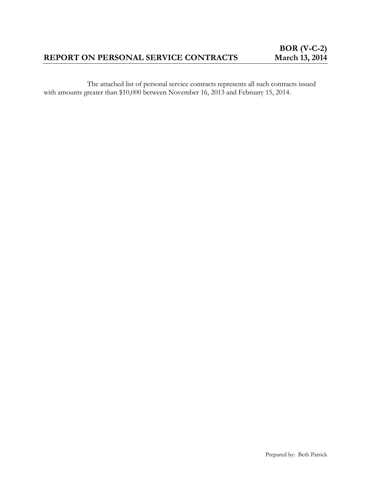# **REPORT ON PERSONAL SERVICE CONTRACTS**

The attached list of personal service contracts represents all such contracts issued with amounts greater than \$10,000 between November 16, 2013 and February 15, 2014.